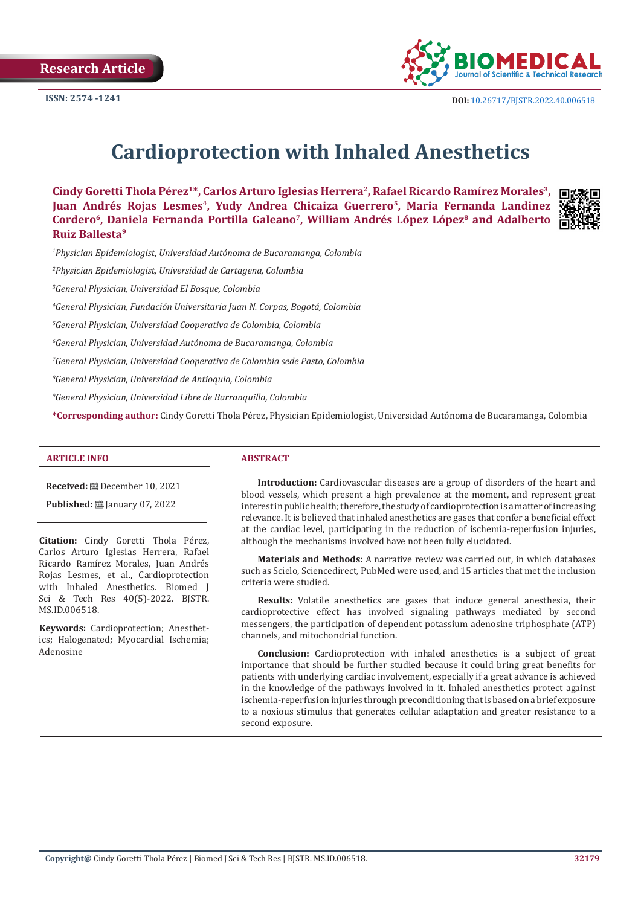**Research Article** 



# **Cardioprotection with Inhaled Anesthetics**

Cindy Goretti Thola Pérez<sup>1\*</sup>, Carlos Arturo Iglesias Herrera<sup>2</sup>, Rafael Ricardo Ramírez Morales<sup>3</sup>, Juan Andrés Rojas Lesmes<sup>4</sup>, Yudy Andrea Chicaiza Guerrero<sup>5</sup>, Maria Fernanda Landinez Cordero<sup>6</sup>, Daniela Fernanda Portilla Galeano<sup>7</sup>, William Andrés López López<sup>8</sup> and Adalberto **Ruiz Ballesta9**



*1 Physician Epidemiologist, Universidad Autónoma de Bucaramanga, Colombia*

*2 Physician Epidemiologist, Universidad de Cartagena, Colombia*

*3 General Physician, Universidad El Bosque, Colombia*

*4 General Physician, Fundación Universitaria Juan N. Corpas, Bogotá, Colombia*

*5 General Physician, Universidad Cooperativa de Colombia, Colombia*

*6 General Physician, Universidad Autónoma de Bucaramanga, Colombia*

*7 General Physician, Universidad Cooperativa de Colombia sede Pasto, Colombia*

*8 General Physician, Universidad de Antioquia, Colombia*

*9 General Physician, Universidad Libre de Barranquilla, Colombia*

**\*Corresponding author:** Cindy Goretti Thola Pérez, Physician Epidemiologist, Universidad Autónoma de Bucaramanga, Colombia

#### **ARTICLE INFO ABSTRACT**

**Received:** December 10, 2021

**Published: 2022** January 07, 2022

**Citation:** Cindy Goretti Thola Pérez, Carlos Arturo Iglesias Herrera, Rafael Ricardo Ramírez Morales, Juan Andrés Rojas Lesmes, et al., Cardioprotection with Inhaled Anesthetics. Biomed J Sci & Tech Res 40(5)-2022. BJSTR. MS.ID.006518.

**Keywords:** Cardioprotection; Anesthetics; Halogenated; Myocardial Ischemia; Adenosine

**Introduction:** Cardiovascular diseases are a group of disorders of the heart and blood vessels, which present a high prevalence at the moment, and represent great interest in public health; therefore, the study of cardioprotection is a matter of increasing relevance. It is believed that inhaled anesthetics are gases that confer a beneficial effect at the cardiac level, participating in the reduction of ischemia-reperfusion injuries, although the mechanisms involved have not been fully elucidated.

**Materials and Methods:** A narrative review was carried out, in which databases such as Scielo, Sciencedirect, PubMed were used, and 15 articles that met the inclusion criteria were studied.

**Results:** Volatile anesthetics are gases that induce general anesthesia, their cardioprotective effect has involved signaling pathways mediated by second messengers, the participation of dependent potassium adenosine triphosphate (ATP) channels, and mitochondrial function.

**Conclusion:** Cardioprotection with inhaled anesthetics is a subject of great importance that should be further studied because it could bring great benefits for patients with underlying cardiac involvement, especially if a great advance is achieved in the knowledge of the pathways involved in it. Inhaled anesthetics protect against ischemia-reperfusion injuries through preconditioning that is based on a brief exposure to a noxious stimulus that generates cellular adaptation and greater resistance to a second exposure.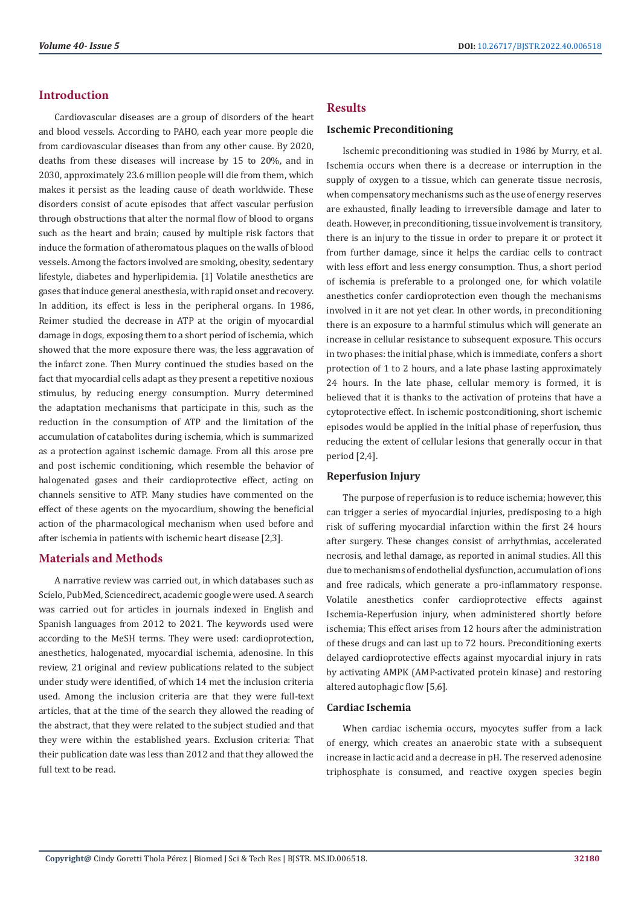# **Introduction**

Cardiovascular diseases are a group of disorders of the heart and blood vessels. According to PAHO, each year more people die from cardiovascular diseases than from any other cause. By 2020, deaths from these diseases will increase by 15 to 20%, and in 2030, approximately 23.6 million people will die from them, which makes it persist as the leading cause of death worldwide. These disorders consist of acute episodes that affect vascular perfusion through obstructions that alter the normal flow of blood to organs such as the heart and brain; caused by multiple risk factors that induce the formation of atheromatous plaques on the walls of blood vessels. Among the factors involved are smoking, obesity, sedentary lifestyle, diabetes and hyperlipidemia. [1] Volatile anesthetics are gases that induce general anesthesia, with rapid onset and recovery. In addition, its effect is less in the peripheral organs. In 1986, Reimer studied the decrease in ATP at the origin of myocardial damage in dogs, exposing them to a short period of ischemia, which showed that the more exposure there was, the less aggravation of the infarct zone. Then Murry continued the studies based on the fact that myocardial cells adapt as they present a repetitive noxious stimulus, by reducing energy consumption. Murry determined the adaptation mechanisms that participate in this, such as the reduction in the consumption of ATP and the limitation of the accumulation of catabolites during ischemia, which is summarized as a protection against ischemic damage. From all this arose pre and post ischemic conditioning, which resemble the behavior of halogenated gases and their cardioprotective effect, acting on channels sensitive to ATP. Many studies have commented on the effect of these agents on the myocardium, showing the beneficial action of the pharmacological mechanism when used before and after ischemia in patients with ischemic heart disease [2,3].

# **Materials and Methods**

A narrative review was carried out, in which databases such as Scielo, PubMed, Sciencedirect, academic google were used. A search was carried out for articles in journals indexed in English and Spanish languages from 2012 to 2021. The keywords used were according to the MeSH terms. They were used: cardioprotection, anesthetics, halogenated, myocardial ischemia, adenosine. In this review, 21 original and review publications related to the subject under study were identified, of which 14 met the inclusion criteria used. Among the inclusion criteria are that they were full-text articles, that at the time of the search they allowed the reading of the abstract, that they were related to the subject studied and that they were within the established years. Exclusion criteria: That their publication date was less than 2012 and that they allowed the full text to be read.

## **Results**

#### **Ischemic Preconditioning**

Ischemic preconditioning was studied in 1986 by Murry, et al. Ischemia occurs when there is a decrease or interruption in the supply of oxygen to a tissue, which can generate tissue necrosis, when compensatory mechanisms such as the use of energy reserves are exhausted, finally leading to irreversible damage and later to death. However, in preconditioning, tissue involvement is transitory, there is an injury to the tissue in order to prepare it or protect it from further damage, since it helps the cardiac cells to contract with less effort and less energy consumption. Thus, a short period of ischemia is preferable to a prolonged one, for which volatile anesthetics confer cardioprotection even though the mechanisms involved in it are not yet clear. In other words, in preconditioning there is an exposure to a harmful stimulus which will generate an increase in cellular resistance to subsequent exposure. This occurs in two phases: the initial phase, which is immediate, confers a short protection of 1 to 2 hours, and a late phase lasting approximately 24 hours. In the late phase, cellular memory is formed, it is believed that it is thanks to the activation of proteins that have a cytoprotective effect. In ischemic postconditioning, short ischemic episodes would be applied in the initial phase of reperfusion, thus reducing the extent of cellular lesions that generally occur in that period [2,4].

#### **Reperfusion Injury**

The purpose of reperfusion is to reduce ischemia; however, this can trigger a series of myocardial injuries, predisposing to a high risk of suffering myocardial infarction within the first 24 hours after surgery. These changes consist of arrhythmias, accelerated necrosis, and lethal damage, as reported in animal studies. All this due to mechanisms of endothelial dysfunction, accumulation of ions and free radicals, which generate a pro-inflammatory response. Volatile anesthetics confer cardioprotective effects against Ischemia-Reperfusion injury, when administered shortly before ischemia; This effect arises from 12 hours after the administration of these drugs and can last up to 72 hours. Preconditioning exerts delayed cardioprotective effects against myocardial injury in rats by activating AMPK (AMP-activated protein kinase) and restoring altered autophagic flow [5,6].

#### **Cardiac Ischemia**

When cardiac ischemia occurs, myocytes suffer from a lack of energy, which creates an anaerobic state with a subsequent increase in lactic acid and a decrease in pH. The reserved adenosine triphosphate is consumed, and reactive oxygen species begin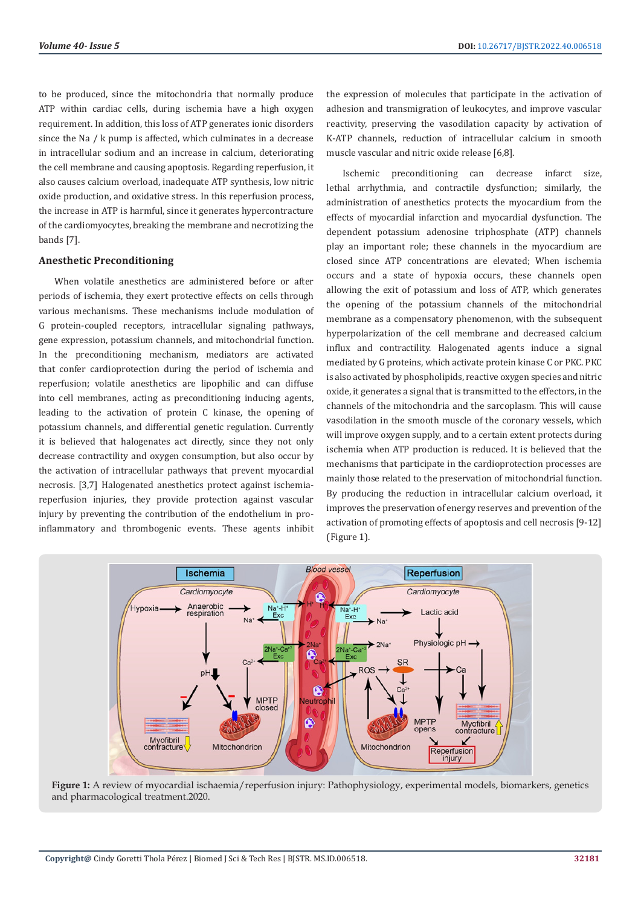to be produced, since the mitochondria that normally produce ATP within cardiac cells, during ischemia have a high oxygen requirement. In addition, this loss of ATP generates ionic disorders since the Na / k pump is affected, which culminates in a decrease in intracellular sodium and an increase in calcium, deteriorating the cell membrane and causing apoptosis. Regarding reperfusion, it also causes calcium overload, inadequate ATP synthesis, low nitric oxide production, and oxidative stress. In this reperfusion process, the increase in ATP is harmful, since it generates hypercontracture of the cardiomyocytes, breaking the membrane and necrotizing the bands [7].

## **Anesthetic Preconditioning**

When volatile anesthetics are administered before or after periods of ischemia, they exert protective effects on cells through various mechanisms. These mechanisms include modulation of G protein-coupled receptors, intracellular signaling pathways, gene expression, potassium channels, and mitochondrial function. In the preconditioning mechanism, mediators are activated that confer cardioprotection during the period of ischemia and reperfusion; volatile anesthetics are lipophilic and can diffuse into cell membranes, acting as preconditioning inducing agents, leading to the activation of protein C kinase, the opening of potassium channels, and differential genetic regulation. Currently it is believed that halogenates act directly, since they not only decrease contractility and oxygen consumption, but also occur by the activation of intracellular pathways that prevent myocardial necrosis. [3,7] Halogenated anesthetics protect against ischemiareperfusion injuries, they provide protection against vascular injury by preventing the contribution of the endothelium in proinflammatory and thrombogenic events. These agents inhibit

the expression of molecules that participate in the activation of adhesion and transmigration of leukocytes, and improve vascular reactivity, preserving the vasodilation capacity by activation of K-ATP channels, reduction of intracellular calcium in smooth muscle vascular and nitric oxide release [6,8].

Ischemic preconditioning can decrease infarct size, lethal arrhythmia, and contractile dysfunction; similarly, the administration of anesthetics protects the myocardium from the effects of myocardial infarction and myocardial dysfunction. The dependent potassium adenosine triphosphate (ATP) channels play an important role; these channels in the myocardium are closed since ATP concentrations are elevated; When ischemia occurs and a state of hypoxia occurs, these channels open allowing the exit of potassium and loss of ATP, which generates the opening of the potassium channels of the mitochondrial membrane as a compensatory phenomenon, with the subsequent hyperpolarization of the cell membrane and decreased calcium influx and contractility. Halogenated agents induce a signal mediated by G proteins, which activate protein kinase C or PKC. PKC is also activated by phospholipids, reactive oxygen species and nitric oxide, it generates a signal that is transmitted to the effectors, in the channels of the mitochondria and the sarcoplasm. This will cause vasodilation in the smooth muscle of the coronary vessels, which will improve oxygen supply, and to a certain extent protects during ischemia when ATP production is reduced. It is believed that the mechanisms that participate in the cardioprotection processes are mainly those related to the preservation of mitochondrial function. By producing the reduction in intracellular calcium overload, it improves the preservation of energy reserves and prevention of the activation of promoting effects of apoptosis and cell necrosis [9-12] (Figure 1).



**Figure 1:** A review of myocardial ischaemia/reperfusion injury: Pathophysiology, experimental models, biomarkers, genetics and pharmacological treatment.2020.